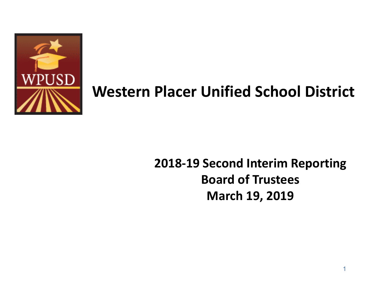

## **Western Placer Unified School District**

## **2018-19 Second Interim Reporting Board of Trustees March 19, 2019**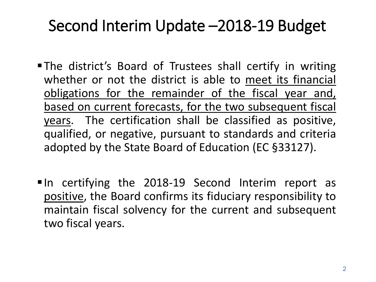## Second Interim Update –2018-19 Budget

- The district's Board of Trustees shall certify in writing whether or not the district is able to meet its financial obligations for the remainder of the fiscal year and, based on current forecasts, for the two subsequent fiscal years. The certification shall be classified as positive, qualified, or negative, pursuant to standards and criteria adopted by the State Board of Education (EC §33127).
- In certifying the 2018-19 Second Interim report as positive, the Board confirms its fiduciary responsibility to maintain fiscal solvency for the current and subsequent two fiscal years.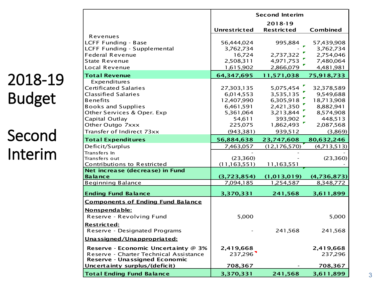| 2018-19<br><b>Budget</b> |  |
|--------------------------|--|
| Second<br>Interim        |  |

|                                          |                | <b>Second Interim</b> |               |
|------------------------------------------|----------------|-----------------------|---------------|
|                                          |                | 2018-19               |               |
|                                          | Unrestricted   | <b>Restricted</b>     | Combined      |
| Revenues                                 |                |                       |               |
| <b>LCFF Funding - Base</b>               | 56,444,024     | 995,884               | 57,439,908    |
| LCFF Funding - Supplemental              | 3,762,734      |                       | 3,762,734     |
| <b>Federal Revenue</b>                   | 16,724         | 2,737,322             | 2,754,046     |
| <b>State Revenue</b>                     | 2,508,311      | 4,971,753             | 7,480,064     |
| Local Revenue                            | 1,615,902      | 2,866,079             | 4,481,981     |
| <b>Total Revenue</b>                     | 64,347,695     | 11,571,038            | 75,918,733    |
| Expenditures                             |                |                       |               |
| <b>Certificated Salaries</b>             | 27,303,135     | 5,075,454             | 32,378,589    |
| <b>Classified Salaries</b>               | 6,014,553      | 3,535,135             | 9,549,688     |
| <b>Benefits</b>                          | 12,407,990     | 6,305,918             | 18,713,908    |
| <b>Books and Supplies</b>                | 6,461,591      | 2,421,350             | 8,882,941     |
| Other Services & Oper. Exp               | 5,361,064      | 3,213,844             | 8,574,908     |
| Capital Outlay                           | 54,611         | 393,902               | 448,513       |
| Other Outgo 7xxx                         | 225,075        | 1,862,493             | 2,087,568     |
| Transfer of Indirect 73xx                | (943, 381)     | 939,512               | (3,869)       |
| <b>Total Expenditures</b>                | 56,884,638     | 23,747,608            | 80,632,246    |
| Deficit/Surplus                          | 7,463,057      | (12, 176, 570)        | (4, 713, 513) |
| Transfers In                             |                |                       |               |
| Transfers out                            | (23,360)       |                       | (23,360)      |
| Contributions to Restricted              | (11, 163, 551) | 11,163,551            |               |
| Net increase (decrease) in Fund          |                |                       |               |
| <b>Balance</b>                           | (3,723,854)    | (1, 013, 019)         | (4,736,873)   |
| <b>Beginning Balance</b>                 | 7,094,185      | 1,254,587             | 8,348,772     |
| <b>Ending Fund Balance</b>               | 3,370,331      | 241,568               | 3,611,899     |
| <b>Components of Ending Fund Balance</b> |                |                       |               |
| Nonspendable:                            |                |                       |               |
| Reserve - Revolving Fund                 | 5,000          |                       | 5,000         |
|                                          |                |                       |               |
| Restricted:                              |                |                       |               |
| Reserve - Designated Programs            |                | 241,568               | 241,568       |
| Unassigned/Unappropriated:               |                |                       |               |
| Reserve - Economic Uncertainty @ 3%      | 2,419,668      |                       | 2,419,668     |
| Reserve - Charter Technical Assistance   | 237,296        |                       | 237,296       |
| Reserve - Unassigned Economic            |                |                       |               |
| Uncertainty surplus/(deficit)            | 708,367        |                       | 708,367       |
| <b>Total Ending Fund Balance</b>         | 3,370,331      | 241,568               | 3,611,899     |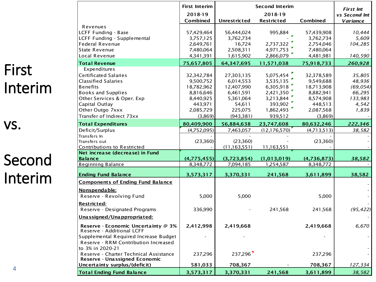## First Interim

┍

# Second Interim

vs.

|                                                                  | <b>First Interim</b> | <b>Second Interim</b> | <b>First Int</b>  |               |               |
|------------------------------------------------------------------|----------------------|-----------------------|-------------------|---------------|---------------|
|                                                                  | 2018-19              |                       | 2018-19           |               | vs Second Int |
|                                                                  | Combined             | <b>Unrestricted</b>   | <b>Restricted</b> | Combined      | Variance      |
| Revenues                                                         |                      |                       |                   |               |               |
| <b>LCFF Funding - Base</b>                                       | 57,429,464           | 56,444,024            | 995,884           | 57,439,908    | 10,444        |
| LCFF Funding - Supplemental                                      | 3,757,125            | 3,762,734             |                   | 3,762,734     | 5,609         |
| <b>Federal Revenue</b>                                           | 2,649,761            | 16,724                | 2,737,322         | 2,754,046     | 104,285       |
| State Revenue                                                    | 7,480,064            | 2,508,311             | 4,971,753         | 7,480,064     |               |
| Local Revenue                                                    | 4,341,391            | 1,615,902             | 2,866,079         | 4,481,981     | 140,590       |
| <b>Total Revenue</b>                                             | 75,657,805           | 64,347,695            | 11,571,038        | 75,918,733    | 260,928       |
| Expenditures                                                     |                      |                       |                   |               |               |
| Certificated Salaries                                            | 32,342,784           | 27,303,135            | 5,075,454         | 32,378,589    | 35,805        |
| <b>Classified Salaries</b>                                       | 9,500,752            | 6,014,553             | 3,535,135         | 9,549,688     | 48,936        |
| <b>Benefits</b>                                                  | 18,782,962           | 12,407,990            | 6,305,918         | 18,713,908    | (69, 054)     |
| <b>Books and Supplies</b>                                        | 8,816,646            | 6,461,591             | 2,421,350         | 8,882,941     | 66,295        |
| Other Services & Oper. Exp                                       | 8,440,925            | 5,361,064             | 3,213,844         | 8,574,908     | 133,983       |
| Capital Outlay                                                   | 443,971              | 54,611                | 393,902           | 448,513       | 4,542         |
| Other Outgo 7xxx                                                 | 2,085,729            | 225,075               | 1,862,493         | 2,087,568     | 1,839         |
| Transfer of Indirect 73xx                                        | (3,869)              | (943, 381)            | 939,512           | (3,869)       |               |
| <b>Total Expenditures</b>                                        | 80,409,900           | 56,884,638            | 23,747,608        | 80,632,246    | 222,346       |
| Deficit/Surplus                                                  | (4,752,095)          | 7,463,057             | (12, 176, 570)    | (4, 713, 513) | 38,582        |
| Transfers In                                                     |                      |                       |                   |               |               |
| Transfers out                                                    | (23,360)             | (23,360)              |                   | (23,360)      |               |
| Contributions to Restricted                                      |                      | (11, 163, 551)        | 11,163,551        |               |               |
| Net increase (decrease) in Fund                                  |                      |                       |                   |               |               |
| <b>Balance</b>                                                   | (4,775,455)          | (3,723,854)           | (1,013,019)       | (4,736,873)   | 38,582        |
| <b>Beginning Balance</b>                                         | 8,348,772            | 7,094,185             | 1,254,587         | 8,348,772     |               |
| <b>Ending Fund Balance</b>                                       | 3,573,317            | 3,370,331             | 241,568           | 3,611,899     | 38,582        |
| <b>Components of Ending Fund Balance</b>                         |                      |                       |                   |               |               |
| Nonspendable:                                                    |                      |                       |                   |               |               |
| Reserve - Revolving Fund                                         | 5,000                | 5,000                 |                   | 5,000         |               |
| <u>Restricted:</u>                                               |                      |                       |                   |               |               |
| Reserve - Designated Programs                                    | 336,990              |                       | 241,568           | 241,568       | (95, 422)     |
| Unassigned/Unappropriated:                                       |                      |                       |                   |               |               |
| Reserve - Economic Uncertainty @ 3%<br>Reserve - Additional LCFF | 2,412,998            | 2,419,668             |                   | 2,419,668     | 6,670         |
| Supplemental Required Increase Budget                            |                      |                       |                   |               |               |
| Reserve - RRM Contribution Increased                             |                      |                       |                   |               |               |
| to 3% in 2020-21                                                 |                      |                       |                   |               |               |
| Reserve - Charter Technical Assistance                           | 237,296              | 237,296               |                   | 237,296       |               |
| Reserve - Unassigned Economic<br>Uncertainty surplus/(deficit)   | 581,033              | 708,367               |                   | 708,367       | 127,334       |
| <b>Total Ending Fund Balance</b>                                 | 3,573,317            | 3,370,331             | 241,568           | 3,611,899     | 38,582        |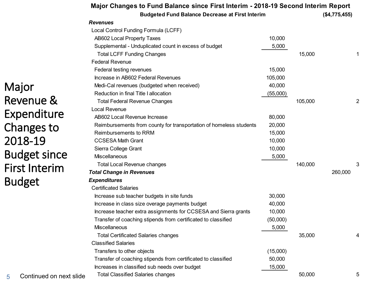|                              | Major Changes to Fund Balance since First Interim - 2018-19 Second Interim Report |          |         |               |   |
|------------------------------|-----------------------------------------------------------------------------------|----------|---------|---------------|---|
|                              | <b>Budgeted Fund Balance Decrease at First Interim</b>                            |          |         | (\$4,775,455) |   |
|                              | <b>Revenues</b>                                                                   |          |         |               |   |
|                              | Local Control Funding Formula (LCFF)                                              |          |         |               |   |
|                              | AB602 Local Property Taxes                                                        | 10,000   |         |               |   |
|                              | Supplemental - Unduplicated count in excess of budget                             | 5,000    |         |               |   |
|                              | <b>Total LCFF Funding Changes</b>                                                 |          | 15,000  |               |   |
|                              | <b>Federal Revenue</b>                                                            |          |         |               |   |
|                              | Federal testing revenues                                                          | 15,000   |         |               |   |
|                              | Increase in AB602 Federal Revenues                                                | 105,000  |         |               |   |
| Major                        | Medi-Cal revenues (budgeted when received)                                        | 40,000   |         |               |   |
|                              | Reduction in final Title I allocation                                             | (55,000) |         |               |   |
| Revenue &                    | <b>Total Federal Revenue Changes</b>                                              |          | 105,000 |               | 2 |
|                              | Local Revenue                                                                     |          |         |               |   |
| Expenditure                  | AB602 Local Revenue Increase                                                      | 80,000   |         |               |   |
| Changes to                   | Reimbursements from county for transportation of homeless students                | 20,000   |         |               |   |
|                              | Reimbursements to RRM                                                             | 15,000   |         |               |   |
| 2018-19                      | <b>CCSESA Math Grant</b>                                                          | 10,000   |         |               |   |
|                              | Sierra College Grant                                                              | 10,000   |         |               |   |
| <b>Budget since</b>          | Miscellaneous                                                                     | 5,000    |         |               |   |
| <b>First Interim</b>         | <b>Total Local Revenue changes</b>                                                |          | 140,000 |               | 3 |
|                              | <b>Total Change in Revenues</b>                                                   |          |         | 260,000       |   |
| <b>Budget</b>                | <b>Expenditures</b>                                                               |          |         |               |   |
|                              | <b>Certificated Salaries</b>                                                      |          |         |               |   |
|                              | Increase sub teacher budgets in site funds                                        | 30,000   |         |               |   |
|                              | Increase in class size overage payments budget                                    | 40,000   |         |               |   |
|                              | Increase teacher extra assignments for CCSESA and Sierra grants                   | 10,000   |         |               |   |
|                              | Transfer of coaching stipends from certificated to classified                     | (50,000) |         |               |   |
|                              | Miscellaneous                                                                     | 5,000    |         |               |   |
|                              | <b>Total Certificated Salaries changes</b>                                        |          | 35,000  |               |   |
|                              | <b>Classified Salaries</b>                                                        |          |         |               |   |
|                              | Transfers to other objects                                                        | (15,000) |         |               |   |
|                              | Transfer of coaching stipends from certificated to classified                     | 50,000   |         |               |   |
|                              | Increases in classified sub needs over budget                                     | 15,000   |         |               |   |
| Continued on next slide<br>5 | <b>Total Classified Salaries changes</b>                                          |          | 50,000  |               | 5 |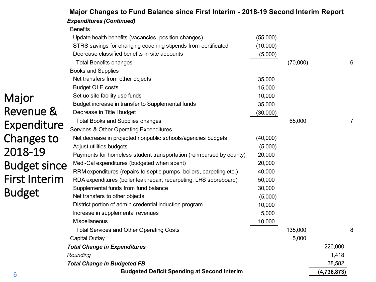| c                    | <b>Budgeted Deficit Spending at Second Interim</b>                                                                    |                      |          | (4,736,873) |   |
|----------------------|-----------------------------------------------------------------------------------------------------------------------|----------------------|----------|-------------|---|
|                      | <b>Total Change in Budgeted FB</b>                                                                                    |                      |          | 38,582      |   |
|                      | Rounding                                                                                                              |                      |          | 1,418       |   |
|                      | <b>Total Change in Expenditures</b>                                                                                   |                      |          | 220,000     |   |
|                      | <b>Capital Outlay</b>                                                                                                 |                      | 5,000    |             |   |
|                      | <b>Total Services and Other Operating Costs</b>                                                                       |                      | 135,000  |             | 8 |
|                      | Miscellaneous                                                                                                         | 10,000               |          |             |   |
|                      | Increase in supplemental revenues                                                                                     | 5,000                |          |             |   |
|                      | District portion of admin credential induction program                                                                | 10,000               |          |             |   |
| <b>Budget</b>        | Net transfers to other objects                                                                                        | (5,000)              |          |             |   |
|                      | Supplemental funds from fund balance                                                                                  | 30,000               |          |             |   |
| <b>First Interim</b> | RDA expenditures (boiler leak repair, recarpeting, LHS scoreboard)                                                    | 50,000               |          |             |   |
| <b>Budget since</b>  | RRM expenditures (repairs to septic pumps, boilers, carpeting etc.)                                                   | 40,000               |          |             |   |
|                      | Payments for homeless student transportation (reimbursed by county)<br>Medi-Cal expenditures (budgeted when spent)    | 20,000<br>20,000     |          |             |   |
| 2018-19              | Adjust utilities budgets                                                                                              | (5,000)              |          |             |   |
| Changes to           | Net decrease in projected nonpublic schools/agencies budgets                                                          | (40,000)             |          |             |   |
|                      | Services & Other Operating Expenditures                                                                               |                      |          |             |   |
| Expenditure          | <b>Total Books and Supplies changes</b>                                                                               |                      | 65,000   |             | 7 |
| Revenue &            | Decrease in Title I budget                                                                                            | (30,000)             |          |             |   |
|                      | Budget increase in transfer to Supplemental funds                                                                     | 35,000               |          |             |   |
| Major                | Set uo site facility use funds                                                                                        | 10,000               |          |             |   |
|                      | <b>Budget OLE costs</b>                                                                                               | 15,000               |          |             |   |
|                      | Net transfers from other objects                                                                                      | 35,000               |          |             |   |
|                      | <b>Books and Supplies</b>                                                                                             |                      |          |             |   |
|                      | <b>Total Benefits changes</b>                                                                                         |                      | (70,000) |             | 6 |
|                      | Decrease classified benefits in site accounts                                                                         | (5,000)              |          |             |   |
|                      | Update health benefits (vacancies, position changes)<br>STRS savings for changing coaching stipends from certificated | (55,000)<br>(10,000) |          |             |   |
|                      | <b>Benefits</b>                                                                                                       |                      |          |             |   |
|                      | <b>Expenditures (Continued)</b>                                                                                       |                      |          |             |   |

#### **Major Changes to Fund Balance since First Interim - 2018-19 Second Interim Report**

6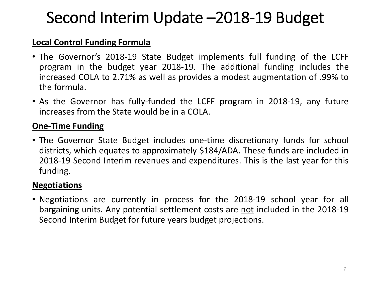## Second Interim Update –2018-19 Budget

#### **Local Control Funding Formula**

- The Governor's 2018-19 State Budget implements full funding of the LCFF program in the budget year 2018-19. The additional funding includes the increased COLA to 2.71% as well as provides a modest augmentation of .99% to the formula.
- As the Governor has fully-funded the LCFF program in 2018-19, any future increases from the State would be in a COLA.

### **One-Time Funding**

• The Governor State Budget includes one-time discretionary funds for school districts, which equates to approximately \$184/ADA. These funds are included in 2018-19 Second Interim revenues and expenditures. This is the last year for this funding.

### **Negotiations**

• Negotiations are currently in process for the 2018-19 school year for all bargaining units. Any potential settlement costs are not included in the 2018-19 Second Interim Budget for future years budget projections.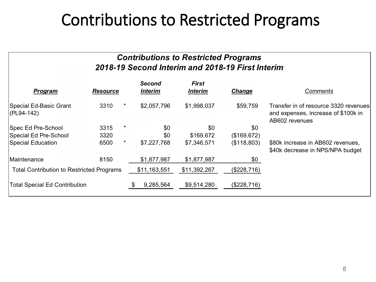## Contributions to Restricted Programs

#### *Contributions to Restricted Programs 2018-19 Second Interim and 2018-19 First Interim*

| <b>Program</b>                                   | <b>Resource</b> |         | <b>Second</b><br><b>Interim</b> | <b>First</b><br><b>Interim</b> | <b>Change</b> | <b>Comments</b>                                                                                |
|--------------------------------------------------|-----------------|---------|---------------------------------|--------------------------------|---------------|------------------------------------------------------------------------------------------------|
| Special Ed-Basic Grant<br>$ (PL94-142) $         | 3310            | $\star$ | \$2,057,796                     | \$1,998,037                    | \$59,759      | Transfer in of resource 3320 revenues<br>and expenses, increase of \$100k in<br>AB602 revenues |
| Spec Ed Pre-School                               | 3315            | $\star$ | \$0                             | \$0                            | \$0           |                                                                                                |
| Special Ed Pre-School                            | 3320            |         | \$0                             | \$169,672                      | (\$169,672)   |                                                                                                |
| Special Education                                | 6500            | $\star$ | \$7,227,768                     | \$7,346,571                    | (\$118,803)   | \$80k increase in AB602 revenues,<br>\$40k decrease in NPS/NPA budget                          |
| Maintenance                                      | 8150            |         | \$1,877,987                     | \$1,877,987                    | \$0           |                                                                                                |
| <b>Total Contribution to Restricted Programs</b> |                 |         | \$11,163,551                    | \$11,392,267                   | (\$228,716)   |                                                                                                |
| <b>Total Special Ed Contribution</b>             |                 |         | 9,285,564                       | \$9,514,280                    | (\$228,716)   |                                                                                                |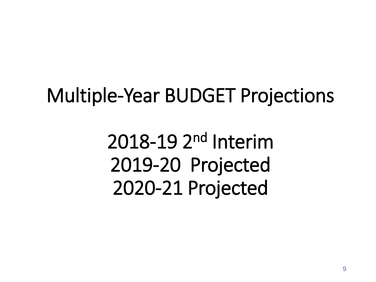# Multiple-Year BUDGET Projections

2018-19 2nd Interim 2019-20 Projected 2020-21 Projected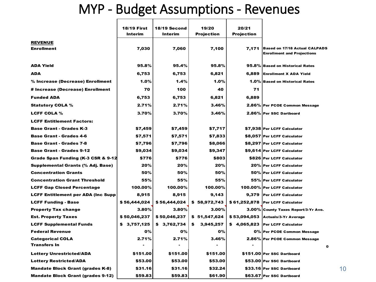## MYP - Budget Assumptions - Revenues

|                                           | <b>18/19 First</b> | 18/19 Second | 19/20          | 20/21             |                                      |
|-------------------------------------------|--------------------|--------------|----------------|-------------------|--------------------------------------|
|                                           | Interim            | Interim      | Projection     | <b>Projection</b> |                                      |
| <b>REVENUE</b>                            |                    |              |                |                   |                                      |
| <b>Enrollment</b>                         | 7,030              | 7,060        | 7,100          | 7,171             | <b>Based on 17/18 Actual CALPADS</b> |
|                                           |                    |              |                |                   | <b>Enrollment and Projections</b>    |
| <b>ADA Yield</b>                          | 95.8%              | 95.4%        | 95.8%          |                   | 95.8% Based on Historical Rates      |
| <b>ADA</b>                                | 6,753              | 6,753        | 6,821          | 6,889             | <b>Enrollment X ADA Yield</b>        |
| % Increase (Decrease) Enrollment          | 1.0%               | 1.4%         | 1.0%           |                   | 1.0% Based on Historical Rates       |
| # Increase (Decrease) Enrollment          | 70                 | 100          | 40             | 71                |                                      |
| <b>Funded ADA</b>                         | 6,753              | 6,753        | 6,821          | 6,889             |                                      |
| <b>Statutory COLA %</b>                   | 2.71%              | 2.71%        | 3.46%          |                   | 2.86% Per PCOE Common Message        |
| <b>LCFF COLA %</b>                        | 3.70%              | 3.70%        | 3.46%          |                   | 2.86% Per SSC Dartboard              |
| <b>LCFF Entitlement Factors:</b>          |                    |              |                |                   |                                      |
| <b>Base Grant - Grades K-3</b>            | \$7,459            | \$7,459      | \$7,717        |                   | \$7,938 Per LCFF Calculator          |
| <b>Base Grant - Grades 4-6</b>            | \$7,571            | \$7,571      | \$7,833        |                   | \$8,057 Per LCFF Calculator          |
| <b>Base Grant - Grades 7-8</b>            | \$7,796            | \$7,796      | \$8,066        |                   | \$8,297 Per LCFF Calculator          |
| <b>Base Grant - Grades 9-12</b>           | \$9,034            | \$9,034      | \$9,347        |                   | \$9,614 Per LCFF Calculator          |
| Grade Span Funding (K-3 CSR & 9-12        | \$776              | \$776        | \$803          |                   | \$826 Per LCFF Calculator            |
| Supplemental Grants (% Adj. Base)         | 20%                | 20%          | 20%            |                   | 20% Per LCFF Calculator              |
| <b>Concentration Grants</b>               | 50%                | 50%          | 50%            |                   | 50% Per LCFF Calculator              |
| <b>Concentration Grant Threshold</b>      | 55%                | 55%          | 55%            |                   | 55% Per LCFF Calculator              |
| <b>LCFF Gap Closed Percentage</b>         | 100.00%            | 100.00%      | 100.00%        |                   | 100.00% Per LCFF Calculator          |
| <b>LCFF Entitlement per ADA (Inc Supp</b> | 8,915              | 8,915        | 9,143          | 9,379             | <b>Per LCFF Calculator</b>           |
| <b>LCFF Funding - Base</b>                | \$56,444,024       | \$56,444,024 | \$58,972,743   |                   | \$61,252,878 Per LCFF Calculator     |
| <b>Property Tax change</b>                | 3.80%              | 3.80%        | 3.00%          |                   | 3.00% County Taxes Report/3-Yr Ave.  |
| <b>Est. Property Taxes</b>                | \$50,046,237       | \$50,046,237 | \$51,547,624   | \$53,094,053      | <b>Actuals/3-Yr Average</b>          |
| <b>LCFF Supplemental Funds</b>            | \$3,757,125        | \$3,762,734  | 3,945,257<br>S | \$4,065,823       | <b>Per LCFF Calculator</b>           |
| <b>Federal Revenue</b>                    | 0%                 | 0%           | 0%             |                   | 0% Per PCOE Common Message           |
| <b>Categorical COLA</b>                   | 2.71%              | 2.71%        | 3.46%          |                   | 2.86% Per PCOE Common Message        |
| <b>Transfers In</b>                       |                    |              |                |                   | $\mathbf o$                          |
| <b>Lottery Unrestricted/ADA</b>           | \$151.00           | \$151.00     | \$151.00       |                   | \$151.00 Per SSC Dartboard           |
| <b>Lottery Restricted/ADA</b>             | \$53.00            | \$53.00      | \$53.00        |                   | \$53.00 Per SSC Dartboard            |
| Mandate Block Grant (grades K-8)          | \$31.16            | \$31.16      | \$32.24        |                   | \$33.16 Per SSC Dartboard            |
| <b>Mandate Block Grant (grades 9-12)</b>  | \$59.83            | \$59.83      | \$61.90        |                   | \$63.67 Per SSC Dartboard            |

10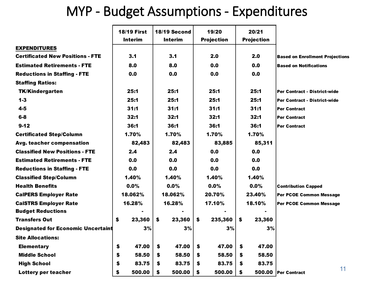## MYP - Budget Assumptions - Expenditures

|                                           | <b>18/19 First</b> | 18/19 Second   | 19/20             | 20/21             |                                        |
|-------------------------------------------|--------------------|----------------|-------------------|-------------------|----------------------------------------|
|                                           | <b>Interim</b>     | <b>Interim</b> | <b>Projection</b> | <b>Projection</b> |                                        |
| <b>EXPENDITURES</b>                       |                    |                |                   |                   |                                        |
| <b>Certificated New Positions - FTE</b>   | 3.1                | 3.1            | 2.0               | 2.0               | <b>Based on Enrollment Projections</b> |
| <b>Estimated Retirements - FTE</b>        | 8.0                | 8.0            | 0.0               | 0.0               | <b>Based on Notifications</b>          |
| <b>Reductions in Staffing - FTE</b>       | 0.0                | 0.0            | 0.0               | 0.0               |                                        |
| <b>Staffing Ratios:</b>                   |                    |                |                   |                   |                                        |
| <b>TK/Kindergarten</b>                    | 25:1               | 25:1           | 25:1              | 25:1              | <b>Per Contract - District-wide</b>    |
| $1 - 3$                                   | 25:1               | 25:1           | 25:1              | 25:1              | <b>Per Contract - District-wide</b>    |
| $4 - 5$                                   | 31:1               | 31:1           | 31:1              | 31:1              | <b>Per Contract</b>                    |
| $6 - 8$                                   | 32:1               | 32:1           | 32:1              | 32:1              | <b>Per Contract</b>                    |
| $9 - 12$                                  | 36:1               | 36:1           | 36:1              | 36:1              | <b>Per Contract</b>                    |
| <b>Certificated Step/Column</b>           | 1.70%              | 1.70%          | 1.70%             | 1.70%             |                                        |
| Avg. teacher compensation                 | 82,483             | 82,483         | 83,885            | 85,311            |                                        |
| <b>Classified New Positions - FTE</b>     | 2.4                | 2.4            | 0.0               | 0.0               |                                        |
| <b>Estimated Retirements - FTE</b>        | 0.0                | 0.0            | 0.0               | 0.0               |                                        |
| <b>Reductions in Staffing - FTE</b>       | 0.0                | 0.0            | 0.0               | 0.0               |                                        |
| <b>Classified Step/Column</b>             | 1.40%              | 1.40%          | 1.40%             | 1.40%             |                                        |
| <b>Health Benefits</b>                    | 0.0%               | 0.0%           | 0.0%              | $0.0\%$           | <b>Contribution Capped</b>             |
| <b>CalPERS Employer Rate</b>              | 18.062%            | 18.062%        | 20.70%            | 23.40%            | <b>Per PCOE Common Message</b>         |
| <b>CalSTRS Employer Rate</b>              | 16.28%             | 16.28%         | 17.10%            | 18.10%            | <b>Per PCOE Common Message</b>         |
| <b>Budget Reductions</b>                  |                    |                |                   |                   |                                        |
| <b>Transfers Out</b>                      | 23,360<br>\$       | \$<br>23,360   | \$<br>235,360     | \$<br>23,360      |                                        |
| <b>Designated for Economic Uncertaint</b> | 3%                 | 3%             | 3%                | 3%                |                                        |
| <b>Site Allocations:</b>                  |                    |                |                   |                   |                                        |
| <b>Elementary</b>                         | \$<br>47.00        | \$<br>47.00    | \$<br>47.00       | 47.00<br>S        |                                        |
| <b>Middle School</b>                      | \$<br>58.50        | \$<br>58.50    | \$<br>58.50       | 58.50<br>\$       |                                        |
| <b>High School</b>                        | \$<br>83.75        | 83.75<br>S     | 83.75<br>S        | 83.75<br>S        |                                        |
| Lottery per teacher                       | \$<br>500.00       | \$<br>500.00   | \$<br>500.00      | \$                | 11<br>500.00 Per Contract              |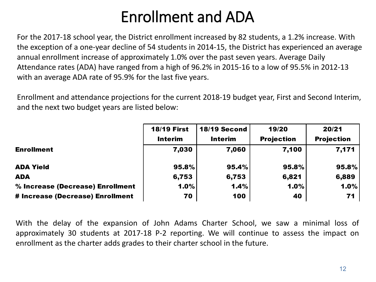## Enrollment and ADA

For the 2017-18 school year, the District enrollment increased by 82 students, a 1.2% increase. With the exception of a one-year decline of 54 students in 2014-15, the District has experienced an average annual enrollment increase of approximately 1.0% over the past seven years. Average Daily Attendance rates (ADA) have ranged from a high of 96.2% in 2015-16 to a low of 95.5% in 2012-13 with an average ADA rate of 95.9% for the last five years.

Enrollment and attendance projections for the current 2018-19 budget year, First and Second Interim, and the next two budget years are listed below:

|                                  | <b>18/19 First</b> | <b>18/19 Second</b> | 19/20             | 20/21             |
|----------------------------------|--------------------|---------------------|-------------------|-------------------|
|                                  | <b>Interim</b>     | <b>Interim</b>      | <b>Projection</b> | <b>Projection</b> |
| <b>Enrollment</b>                | 7,030              | 7,060               | 7,100             | 7,171             |
| <b>ADA Yield</b>                 | 95.8%              | 95.4%               | 95.8%             | 95.8%             |
| <b>ADA</b>                       | 6,753              | 6,753               | 6,821             | 6,889             |
| % Increase (Decrease) Enrollment | 1.0%               | 1.4%                | 1.0%              | 1.0%              |
| # Increase (Decrease) Enrollment | 70                 | 100                 | 40                | 71                |

With the delay of the expansion of John Adams Charter School, we saw a minimal loss of approximately 30 students at 2017-18 P-2 reporting. We will continue to assess the impact on enrollment as the charter adds grades to their charter school in the future.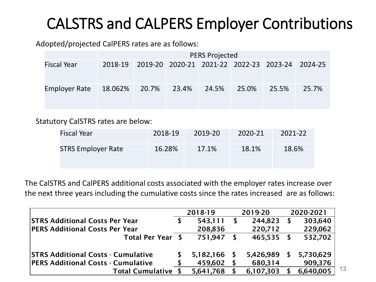## CALSTRS and CALPERS Employer Contributions

Adopted/projected CalPERS rates are as follows:

|                                         | <b>PERS Projected</b> |  |  |  |  |                                                         |       |  |
|-----------------------------------------|-----------------------|--|--|--|--|---------------------------------------------------------|-------|--|
| <b>Fiscal Year</b>                      |                       |  |  |  |  | 2018-19 2019-20 2020-21 2021-22 2022-23 2023-24 2024-25 |       |  |
| Employer Rate 18.062% 20.7% 23.4% 24.5% |                       |  |  |  |  | 25.0% 25.5%                                             | 25.7% |  |

Statutory CalSTRS rates are below:

| Fiscal Year               | 2018-19 | 2019-20 | 2020-21 | 2021-22 |
|---------------------------|---------|---------|---------|---------|
| <b>STRS Employer Rate</b> | 16.28%  | 17.1%   | 18.1%   | 18.6%   |

The CalSTRS and CalPERS additional costs associated with the employer rates increase over the next three years including the cumulative costs since the rates increased are as follows:

|                                           | 2018-19 |           |    | 2019-20      |    | 2020-2021 |
|-------------------------------------------|---------|-----------|----|--------------|----|-----------|
| <b>STRS Additional Costs Per Year</b>     |         | 543,111   | S. | 244,823      |    | 303,640   |
| <b>PERS Additional Costs Per Year</b>     |         | 208,836   |    | 220,712      |    | 229,062   |
| Total Per Year \$                         |         | 751,947   | S  | $465,535$ \$ |    | 532,702   |
| <b>STRS Additional Costs - Cumulative</b> |         | 5,182,166 | S. | 5,426,989    | S. | 5,730,629 |
| <b>PERS Additional Costs - Cumulative</b> |         | 459,602   |    | 680,314      |    | 909,376   |
| <b>Total Cumulative</b>                   |         | 5,641,768 |    | 6,107,303    |    | 6,640,005 |

13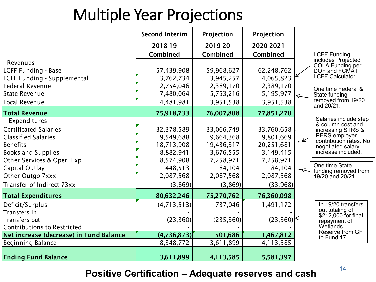## Multiple Year Projections

|                                         | <b>Second Interim</b> | Projection | Projection |                          |                                             |
|-----------------------------------------|-----------------------|------------|------------|--------------------------|---------------------------------------------|
|                                         | 2018-19               | 2019-20    | 2020-2021  |                          |                                             |
|                                         | Combined              | Combined   | Combined   |                          | <b>LCFF Funding</b>                         |
| Revenues                                |                       |            |            |                          | includes Projected<br>COLA Funding per      |
| LCFF Funding - Base                     | 57,439,908            | 59,968,627 | 62,248,762 |                          | DOF and FCMAT                               |
| LCFF Funding - Supplemental             | 3,762,734             | 3,945,257  | 4,065,823  |                          | <b>LCFF Calculator</b>                      |
| Federal Revenue                         | 2,754,046             | 2,389,170  | 2,389,170  |                          | One time Federal &                          |
| State Revenue                           | 7,480,064             | 5,753,216  | 5,195,977  |                          | State funding                               |
| Local Revenue                           | 4,481,981             | 3,951,538  | 3,951,538  |                          | removed from 19/20<br>and 20/21.            |
| <b>Total Revenue</b>                    | 75,918,733            | 76,007,808 | 77,851,270 |                          |                                             |
| Expenditures                            |                       |            |            |                          | Salaries include step                       |
| Certificated Salaries                   | 32,378,589            | 33,066,749 | 33,760,658 |                          | & column cost and<br>increasing STRS &      |
| <b>Classified Salaries</b>              | 9,549,688             | 9,664,368  | 9,801,669  | $\overline{\mathscr{L}}$ | PERS employer                               |
| Benefits                                | 18,713,908            | 19,436,317 | 20,251,681 |                          | contribution rates. No<br>negotiated salary |
| <b>Books and Supplies</b>               | 8,882,941             | 3,676,555  | 3,149,415  |                          | increase included.                          |
| Other Services & Oper. Exp              | 8,574,908             | 7,258,971  | 7,258,971  |                          |                                             |
| Capital Outlay                          | 448,513               | 84,104     | 84,104     |                          | One time State<br>funding removed from      |
| Other Outgo 7xxx                        | 2,087,568             | 2,087,568  | 2,087,568  |                          | 19/20 and 20/21                             |
| Transfer of Indirect 73xx               | (3, 869)              | (3,869)    | (33,968)   |                          |                                             |
| <b>Total Expenditures</b>               | 80,632,246            | 75,270,762 | 76,360,098 |                          |                                             |
| Deficit/Surplus                         | (4, 713, 513)         | 737,046    | 1,491,172  |                          | In 19/20 transfers                          |
| Transfers In                            |                       |            |            |                          | out totaling of<br>\$212,000 for final      |
| Transfers out                           | (23, 360)             | (235, 360) | (23, 360)  |                          | repayment of                                |
| <b>Contributions to Restricted</b>      |                       |            |            |                          | Wetlands                                    |
| Net increase (decrease) in Fund Balance | (4,736,873)           | 501,686    | 1,467,812  |                          | Reserve from GF<br>to Fund 17               |
| Beginning Balance                       | 8,348,772             | 3,611,899  | 4,113,585  |                          |                                             |
| <b>Ending Fund Balance</b>              | 3,611,899             | 4,113,585  | 5,581,397  |                          |                                             |

## <sup>14</sup> **Positive Certification – Adequate reserves and cash**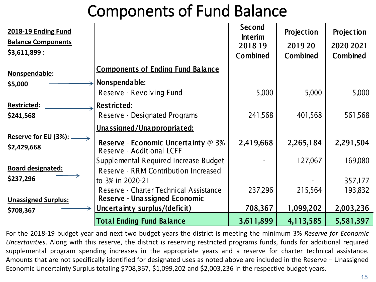## Components of Fund Balance

| 2018-19 Ending Fund                        |                                                                  | <b>Second</b><br><b>Interim</b> | Projection      | Projection      |
|--------------------------------------------|------------------------------------------------------------------|---------------------------------|-----------------|-----------------|
| <b>Balance Components</b>                  |                                                                  | 2018-19                         | 2019-20         | 2020-2021       |
| \$3,611,899:                               |                                                                  | <b>Combined</b>                 | <b>Combined</b> | <b>Combined</b> |
| Nonspendable:                              | <b>Components of Ending Fund Balance</b>                         |                                 |                 |                 |
| \$5,000                                    | <u>Nonspendable:</u>                                             |                                 |                 |                 |
|                                            | Reserve - Revolving Fund                                         | 5,000                           | 5,000           | 5,000           |
| <b>Restricted:</b>                         | <b>Restricted:</b>                                               |                                 |                 |                 |
| \$241,568                                  | Reserve - Designated Programs                                    | 241,568                         | 401,568         | 561,568         |
|                                            | <u>Unassigned/Unappropriated:</u>                                |                                 |                 |                 |
| <b>Reserve for EU (3%):</b><br>\$2,429,668 | Reserve - Economic Uncertainty @ 3%<br>Reserve - Additional LCFF | 2,419,668                       | 2,265,184       | 2,291,504       |
|                                            | Supplemental Required Increase Budget                            |                                 | 127,067         | 169,080         |
| <b>Board designated:</b>                   | Reserve - RRM Contribution Increased                             |                                 |                 |                 |
| \$237,296                                  | to 3% in 2020-21                                                 |                                 |                 | 357,177         |
|                                            | Reserve - Charter Technical Assistance                           | 237,296                         | 215,564         | 193,832         |
| <b>Unassigned Surplus:</b>                 | <b>Reserve - Unassigned Economic</b>                             |                                 |                 |                 |
| \$708,367                                  | Uncertainty surplus/(deficit)                                    | 708,367                         | 1,099,202       | 2,003,236       |
|                                            | <b>Total Ending Fund Balance</b>                                 | 3,611,899                       | 4,113,585       | 5,581,397       |

For the 2018-19 budget year and next two budget years the district is meeting the minimum 3% *Reserve for Economic Uncertainties*. Along with this reserve, the district is reserving restricted programs funds, funds for additional required supplemental program spending increases in the appropriate years and a reserve for charter technical assistance. Amounts that are not specifically identified for designated uses as noted above are included in the Reserve – Unassigned Economic Uncertainty Surplus totaling \$708,367, \$1,099,202 and \$2,003,236 in the respective budget years.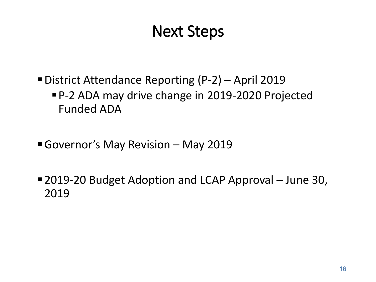## Next Steps

- District Attendance Reporting (P-2) April 2019 P-2 ADA may drive change in 2019-2020 Projected Funded ADA
- Governor's May Revision May 2019
- 2019-20 Budget Adoption and LCAP Approval June 30, 2019